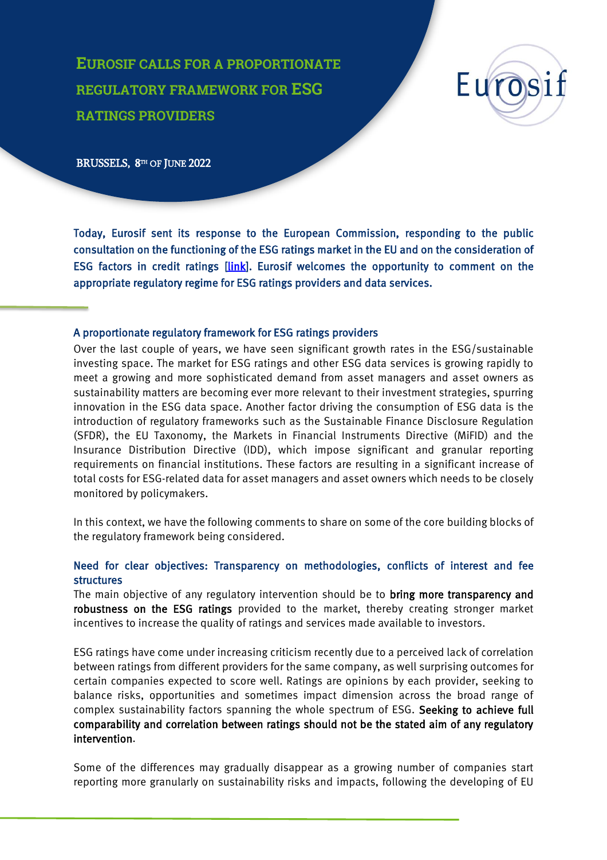**EUROSIF CALLS FOR A PROPORTIONATE REGULATORY FRAMEWORK FOR ESG RATINGS PROVIDERS**



BRUSSELS, 8<sup>TH</sup> OF JUNE 2022

j

Today, Eurosif sent its response to the European Commission, responding to the public consultation on the functioning of the ESG ratings market in the EU and on the consideration of ESG factors in credit ratings [\[link\]](https://ec.europa.eu/info/consultations/finance-2022-esg-ratings_en). Eurosif welcomes the opportunity to comment on the appropriate regulatory regime for ESG ratings providers and data services.

#### A proportionate regulatory framework for ESG ratings providers

Over the last couple of years, we have seen significant growth rates in the ESG/sustainable investing space. The market for ESG ratings and other ESG data services is growing rapidly to meet a growing and more sophisticated demand from asset managers and asset owners as sustainability matters are becoming ever more relevant to their investment strategies, spurring innovation in the ESG data space. Another factor driving the consumption of ESG data is the introduction of regulatory frameworks such as the Sustainable Finance Disclosure Regulation (SFDR), the EU Taxonomy, the Markets in Financial Instruments Directive (MiFID) and the Insurance Distribution Directive (IDD), which impose significant and granular reporting requirements on financial institutions. These factors are resulting in a significant increase of total costs for ESG-related data for asset managers and asset owners which needs to be closely monitored by policymakers.

In this context, we have the following comments to share on some of the core building blocks of the regulatory framework being considered.

### Need for clear objectives: Transparency on methodologies, conflicts of interest and fee structures

The main objective of any regulatory intervention should be to **bring more transparency and** robustness on the ESG ratings provided to the market, thereby creating stronger market incentives to increase the quality of ratings and services made available to investors.

ESG ratings have come under increasing criticism recently due to a perceived lack of correlation between ratings from different providers for the same company, as well surprising outcomes for certain companies expected to score well. Ratings are opinions by each provider, seeking to balance risks, opportunities and sometimes impact dimension across the broad range of complex sustainability factors spanning the whole spectrum of ESG. Seeking to achieve full comparability and correlation between ratings should not be the stated aim of any regulatory intervention.

Some of the differences may gradually disappear as a growing number of companies start reporting more granularly on sustainability risks and impacts, following the developing of EU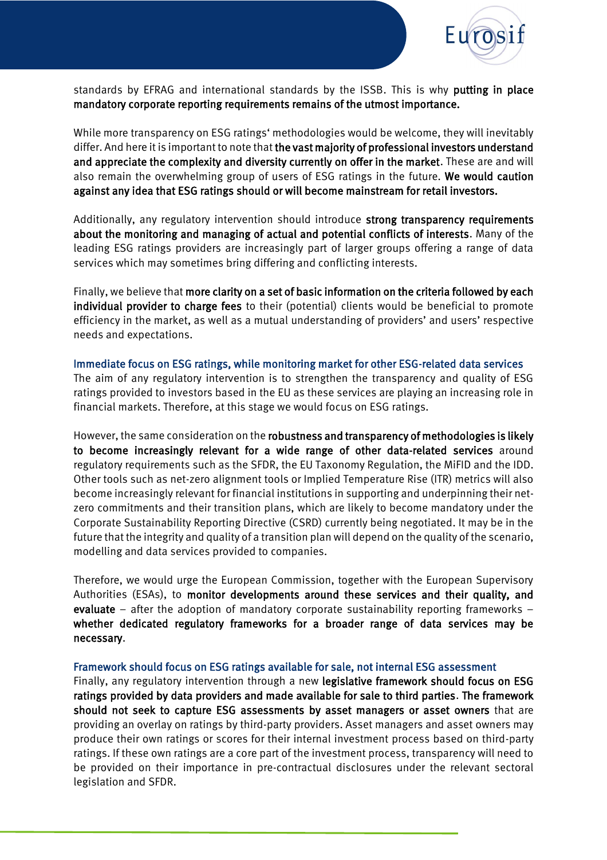

standards by EFRAG and international standards by the ISSB. This is why putting in place mandatory corporate reporting requirements remains of the utmost importance.

While more transparency on ESG ratings' methodologies would be welcome, they will inevitably differ. And here it is important to note that the vast majority of professional investors understand and appreciate the complexity and diversity currently on offer in the market. These are and will also remain the overwhelming group of users of ESG ratings in the future. We would caution against any idea that ESG ratings should or will become mainstream for retail investors.

Additionally, any regulatory intervention should introduce strong transparency requirements about the monitoring and managing of actual and potential conflicts of interests. Many of the leading ESG ratings providers are increasingly part of larger groups offering a range of data services which may sometimes bring differing and conflicting interests.

Finally, we believe that more clarity on a set of basic information on the criteria followed by each individual provider to charge fees to their (potential) clients would be beneficial to promote efficiency in the market, as well as a mutual understanding of providers' and users' respective needs and expectations.

#### Immediate focus on ESG ratings, while monitoring market for other ESG-related data services

The aim of any regulatory intervention is to strengthen the transparency and quality of ESG ratings provided to investors based in the EU as these services are playing an increasing role in financial markets. Therefore, at this stage we would focus on ESG ratings.

However, the same consideration on the robustness and transparency of methodologies is likely to become increasingly relevant for a wide range of other data-related services around regulatory requirements such as the SFDR, the EU Taxonomy Regulation, the MiFID and the IDD. Other tools such as net-zero alignment tools or Implied Temperature Rise (ITR) metrics will also become increasingly relevant for financial institutions in supporting and underpinning their netzero commitments and their transition plans, which are likely to become mandatory under the Corporate Sustainability Reporting Directive (CSRD) currently being negotiated. It may be in the future that the integrity and quality of a transition plan will depend on the quality of the scenario, modelling and data services provided to companies.

Therefore, we would urge the European Commission, together with the European Supervisory Authorities (ESAs), to monitor developments around these services and their quality, and evaluate – after the adoption of mandatory corporate sustainability reporting frameworks – whether dedicated regulatory frameworks for a broader range of data services may be necessary.

#### Framework should focus on ESG ratings available for sale, not internal ESG assessment

Finally, any regulatory intervention through a new legislative framework should focus on ESG ratings provided by data providers and made available for sale to third parties. The framework should not seek to capture ESG assessments by asset managers or asset owners that are providing an overlay on ratings by third-party providers. Asset managers and asset owners may produce their own ratings or scores for their internal investment process based on third-party ratings. If these own ratings are a core part of the investment process, transparency will need to be provided on their importance in pre-contractual disclosures under the relevant sectoral legislation and SFDR.